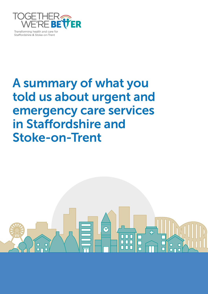

Staffordshire & Stoke-on-Trent

## A summary of what you told us about urgent and emergency care services in Staffordshire and Stoke-on-Trent

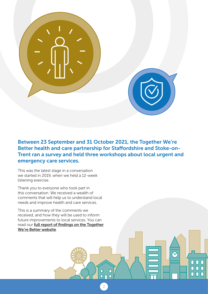

Between 23 September and 31 October 2021, the Together We're Better health and care partnership for Staffordshire and Stoke-on-Trent ran a survey and held three workshops about local urgent and emergency care services.

2

oг

◻

 $\frac{1}{1}$ 

88

пп

This was the latest stage in a conversation we started in 2019, when we held a 12-week listening exercise.

Thank you to everyone who took part in this conversation. We received a wealth of comments that will help us to understand local needs and improve health and care services.

This is a summary of the comments we received, and how they will be used to inform future improvements to local services. You can read our **full report of findings on the Together** [We're Better website](https://www.twbstaffsandstoke.org.uk/get-involved/previous-involvement-work/improving-urgent-and-emergency-care-services-in-staffordshire-and-stoke-on-trent).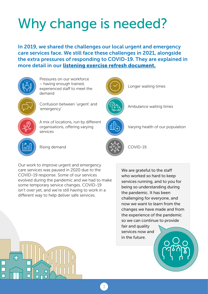# Why change is needed?

In 2019, we shared the challenges our local urgent and emergency care services face. We still face these challenges in 2021, alongside the extra pressures of responding to COVID-19. They are explained in more detail in our [listening exercise refresh document.](https://www.twbstaffsandstoke.org.uk/publications/304-uec-listening-exercise-refresh-september-2021-1/file)



Our work to improve urgent and emergency care services was paused in 2020 due to the COVID-19 response. Some of our services evolved during the pandemic and we had to make some temporary service changes. COVID-19 isn't over yet, and we're still having to work in a different way to help deliver safe services.

We are grateful to the staff who worked so hard to keep services running, and to you for being so understanding during the pandemic. It has been challenging for everyone, and now we want to learn from the changes we have made and from the experience of the pandemic so we can continue to provide

fair and quality services now and in the future.



Ambulance waiting times

Longer waiting times

Varying health of our population

COVID-19.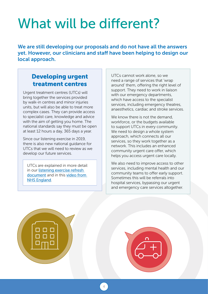# What will be different?

We are still developing our proposals and do not have all the answers yet. However, our clinicians and staff have been helping to design our local approach.

## Developing urgent treatment centres

Urgent treatment centres (UTCs) will bring together the services provided by walk-in centres and minor injuries units, but will also be able to treat more complex cases. They can provide access to specialist care, knowledge and advice with the aim of getting you home. The national standards say they must be open at least 12 hours a day, 365 days a year.

Since our listening exercise in 2019, there is also new national guidance for UTCs that we will need to review as we develop our future services.

UTCs are explained in more detail in our [listening exercise refresh](https://www.twbstaffsandstoke.org.uk/publications/304-uec-listening-exercise-refresh-september-2021-1)  [document](https://www.twbstaffsandstoke.org.uk/publications/304-uec-listening-exercise-refresh-september-2021-1) and in this [video from](https://www.england.nhs.uk/urgent-emergency-care/urgent-treatment-centres/)  [NHS England](https://www.england.nhs.uk/urgent-emergency-care/urgent-treatment-centres/).

UTCs cannot work alone, so we need a range of services that 'wrap around' them, offering the right level of support. They need to work in liaison with our emergency departments, which have access to the specialist services, including emergency theatres, anaesthetics, cardiac and stroke services.

We know there is not the demand. workforce, or the budgets available to support UTCs in every community. We need to design a whole system approach, which connects all our services, so they work together as a network. This includes an enhanced community urgent care offer, which helps you access urgent care locally.

We also need to improve access to other services, including mental health and our community teams to offer early support. Sometimes this will be referrals into hospital services, bypassing our urgent and emergency care services altogether.

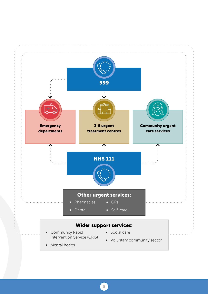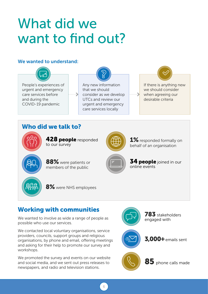## What did we want to find out?

#### We wanted to understand:



6

## Working with communities

We wanted to involve as wide a range of people as possible who use our services.

We contacted local voluntary organisations, service providers, councils, support groups and religious organisations, by phone and email, offering meetings and asking for their help to promote our survey and workshops.

We promoted the survey and events on our website and social media, and we sent out press releases to newspapers, and radio and television stations.





85 phone calls made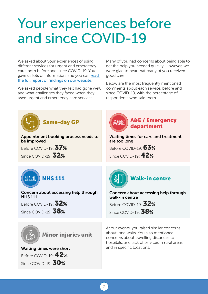## Your experiences before and since COVID-19

We asked about your experiences of using different services for urgent and emergency care, both before and since COVID-19. You gave us lots of information, and you can [read](https://www.twbstaffsandstoke.org.uk/get-involved/previous-involvement-work/improving-urgent-and-emergency-care-services-in-staffordshire-and-stoke-on-trent)  [the full report of findings on our website](https://www.twbstaffsandstoke.org.uk/get-involved/previous-involvement-work/improving-urgent-and-emergency-care-services-in-staffordshire-and-stoke-on-trent).

We asked people what they felt had gone well, and what challenges they faced when they used urgent and emergency care services.

Many of you had concerns about being able to get the help you needed quickly. However, we were glad to hear that many of you received good care.

Below are the most frequently mentioned comments about each service, before and since COVID-19, with the percentage of respondents who said them.

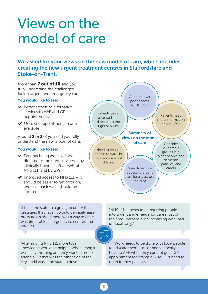## Views on the model of care

### We asked for your views on the new model of care, which includes creating the new urgent treatment centres in Staffordshire and Stoke-on-Trent.

care and care out of hours

Patients being assessed and directed to the right services

More than **7 out of 10** said you fully understand the challenges facing urgent and emergency care.

#### You would like to see:

- $\blacktriangleright$  Better access to alternative services to A&E and GP appointments
- $\blacktriangleright$  More GP appointments made available

Around 2 in 3 of you said you fully understand the new model of care.

#### You would like to see:

- ◆ Patients being assessed and directed to the right services – by clinically trained staff at A&E, at NHS 111, and by GPs
- $\blacktriangleright$  Improved access to NHS 111 it should be easier to get through, and call-back waits should be shorter

"I think the staff do a great job under the pressures they face. It would definitely ease pressure on a&e if there was a way to check wait times at local urgent care centres and walk ins."

"NHS 111 appears to be referring people into urgent and emergency care most of the time...perhaps even increasing workload unnecessarily."

"After ringing NHS 111 more local knowledge would be helpful. When I rang it was early morning and they wanted me to attend a GP that was the other side of the city, and I was in no state to drive."

"Work needs to be done with local people to educate them – most people locally head to A&E when they can not get a GP appointment for example. Also, GPs need to open to thier patients."



Concern over poor access to NHS 111

> Patients need more information about UTCs

> > **Consider** vulnerable groups (e.g.

dementia patients) and

Need to ensure  $\bigcup$  carers access to urgent care locally across the area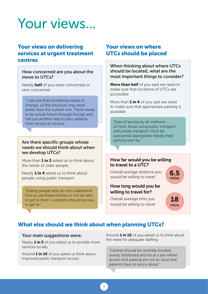## Your views...

### Your views on delivering services at urgent treatment centres

#### How concerned are you about the move to UTCs?

Nearly **half** of you were concerned or very concerned

"I can see that something needs to change, so this structure may work better than the current one. There needs to be actual follow through though and not just another way to pass patients from service to service."

#### Are there specific groups whose needs we should think about when we develop UTCs?

More than  $1$  in  $3$  asked us to think about the needs of older people

Nearly  $1$  in 4 asked us to think about people using public transport

"Elderly people who do not understand how to use these centres or not be able to get to them. Locations should be easy to get to."

### Your views on where UTCs should be placed

When thinking about where UTCs should be located, what are the most important things to consider?

More than half of you said we need to make sure that locations of UTCs are accessible

More than  $1$  in  $4$  of you said we need to make sure that appropriate parking is available

"Ease of access by all methods – on foot, those using public transport and private transport. Must be substantial appropriate (ideally free) parking near by."



#### How far would you be willing to travel to a UTC?

Overall average distance you would be willing to travel

6.5 miles

#### How long would you be willing to travel for?

Overall average time you would be willing to travel

18 mins

### What else should we think about when planning UTCs?

#### Your main suggestions were:

Nearly 1 in 5 of you asked us to provide more services locally

Around  $1$  in  $10$  of you asked us think about improved public transport access

Around  $1$  in  $10$  of you asked us to think about the need for adequate staffing

"Centres should be centrally located, evenly distributed and be at a site where access and parking are not an issue that patients have to worry about."